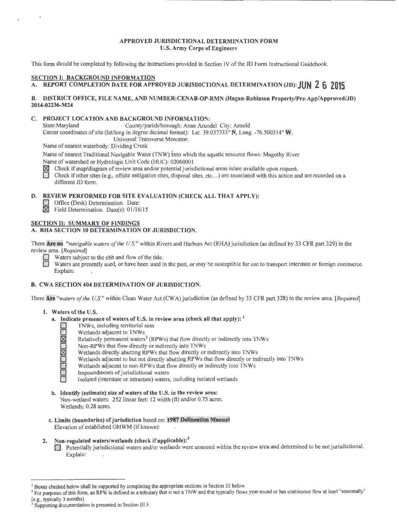#### **APPROVED JURISDICTIONAL DETERMINATION FORM**  U.S. **Army Corps of Engineers**

This form should be completed by following the instructions provided in Section IV of the JD Form Instructional Guidebook.

# **SECTION I: BACKGROUND INFORMATION**

# A. REPORT COMPLETION DATE FOR APPROVED JURISDICTIONAL DETERMINATION (JD): **JUN 2 6 2015**

#### **B. DISTRICT OFFICE, FILE NAME, AND NUMBER:CENAB-OP-RMN (Hagan-Robinson Property/Pre-App/Approved/JD) 2014-02236-M24**

# **C. PROJECT LOCATION AND BACKGROUND INFORMATION:**<br>
State:Maryland County/parish/borough: Anne Arune

County/parish/borough: Anne Arundel City: Arnold Center coordinates of site (lat/long in degree decimal format): Lat. 39.037333° N, Long. -76.500314° W. Universal Transverse Mercator:

Name of nearest waterbody: Dividing Creek

Name of nearest Traditional Navigable Water (TNW) into which the aquatic resource flows: Magothy River Name of watershed or Hydrologic Unit Code (HUC): 02060001

**181** Check if map/diagram of review area and/or potential jurisdictional areas is/are available upon request.<br>181 Check if other sites (e.g., offsite mitigation sites, disposal sites, etc.,) are associated with this actio

Check if other sites (e.g., offsite mitigation sites, disposal sites, etc...) are associated with this action and are recorded on a different JD form.

#### **D. REVIEW PERFORMED FOR SITE EVALUATION (CHECK ALL THAT APPLY):**

- **D** Office (Desk) Determination. Date:
- *K* Field Determination. Date(s): 01/16/15

### **SECTION II: SUMMARY OF FINDINGS**

#### **A. RHA SECTION 10 DETERMINATION OF JURISDICTION.**

There **Are no** *"navigable waters of the U.S."* within Rivers and Harbors Act (RHA) jurisdiction (as defined by 33 CFR part 329) in the review area. *[Required]* 

Waters are presently used, or have been used in the past, or may be susceptible for use to transport interstate or foreign commerce. Explain:

#### **B. CWA SECTION 404 DETERMINATION OF JURISDICTION.**

There **re** *"waters of the U.S."* within Clean Water Act (CWA) jurisdiction (as defined by 33 CFR part 328) in the review area. *[Required]* 

#### 1. Waters of the U.S.

- **a. Indicate presence of waters of U.S. in review area (check all that apply):** <sup>1</sup><br>
INWs, including territorial seas<br>
Wetlands adjacent to TNWs<br>
Relatively permanent waters<sup>2</sup> (RPWs) that flow directly or indirectly in<br>
N
	- **0** TNWs, including territorial seas
		- Wetlands adjacent to TNWs
		- Relatively permanent waters<sup>2</sup> (RPWs) that flow directly or indirectly into TNWs
		- **0** Non-RPWs that flow directly or indirectly into TNWs
		- **181** Wetlands directly abutting RPWs that flow directly or indirectly into TNWs
		- Wetlands adjacent to but not directly abutting RPWs that flow directly or indirectly into TNWs
		- Wetlands adjacent to non-RPWs that flow directly or indirectly into TNWs
		- Impoundments of jurisdictional waters
		- **0** Isolated (interstate or intrastate) waters, including isolated wetlands
- **b. Identify (estimate) size of waters of the** U.S. **in the review area:**  Non-wetland waters: 252 linear feet: 12 width (ft) and/or 0.75 acres. Wetlands: 0.28 acres.
- **c. Limits (boundaries) of jurisdiction** based on: **987 Delineation Manua!**  Elevation of established OHWM (if known):

#### **2. Non-regulated waters/wetlands (check if applicable): <sup>3</sup>**

**D** Potentially jurisdictional waters and/or wetlands were assessed within the review area and determined to be not jurisdictional. Explain:

<sup>&</sup>lt;sup>1</sup> Boxes checked below shall be supported by completing the appropriate sections in Section III below.<br><sup>2</sup> For purposes of this form, an RPW is defined as a tributary that is not a TNW and that typically flows year-round

<sup>(</sup>e.g., typically 3 months). 3 Supporting documentation is presented in Section III.F.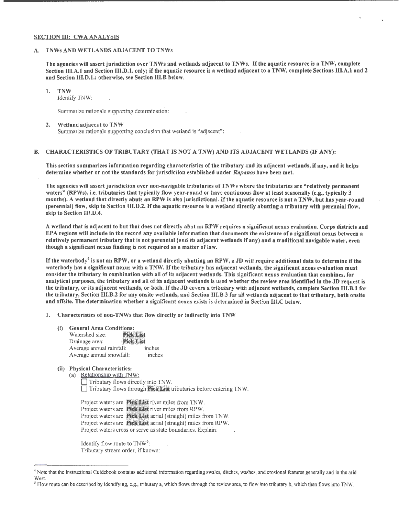#### SECTION Ill: CWA ANALYSIS

#### A. TNWs AND WETLANDS ADJACENT TO TNWs

The agencies will assert jurisdiction over TNWs and wetlands adjacent to TNWs. If the aquatic resource is a TNW, complete Section III.A.1 and Section III.D.1. only; if the aquatic resource is a wetland adjacent to a TNW, complete Sections III.A.1 and 2 and Section Ill.D.1.; otherwise, see Section 111.B below.

1. TNW

Identify TNW:

Summarize rationale supporting determination:

#### 2. Wetland adjacent to TNW

Summarize rationale supporting conclusion that wetland is "adjacent":

#### B. CHARACTERISTICS OF TRIBUTARY (THAT IS NOT A TNW) AND ITS ADJACENT WETLANDS (IF ANY):

This section summarizes information regarding characteristics of the tributary snd its adjacent wetlands, if any, and it helps determine whether or not the standards for jurisdiction established under *Rapanos* have been met.

The agencies will assert jurisdiction over non-navigable tributaries of TNWs where the tributaries are "relatively permanent waters" (RPWs), i.e. tributaries that typically flow year-round or have continuous flow at least seasonally (e.g., typically 3 months). A wetland that directly abuts an RPW is also jurisdictional. If the aquatic resource is not a TNW, but bas year-round (perennial) flow, skip to Section III.D.2. If the aquatic resource is a wetland directly abutting a tributary with perennial flow, skip to Section III.D.4.

A wetland that is adjacent to but that does not directly abut an RPW requires a significant nexus evaluation. Corps districts and EPA regions will include in the record any available information that documents the existence of a significant nexus between a relatively permanent tributary that is not perennial (and its adjacent wetlands if any) and a traditional navigable water, even though a significant nexus finding is not required as a matter of law.

If the waterbody<sup>4</sup> is not an RPW, or a wetland directly abutting an RPW, a JD will require additional data to determine if the waterbody has a significant nexus with a TNW. If the tributary has adjacent wetlands, the significant nexus evaluation must consider the tributary in combination with all of its adjacent wetlands. This significant nexus evaluation that combines, for analytical purposes, the tributary and all of its adjacent wetlands is used whether the review area identified in the JD request is the tributary, or its adjacent wetlands, or both. If the JD covers a tributary with adjacent wetlands, complete Section 111.B.I for the tributary, Section 111.B.2 for any onsite wetlands, and Section III.B.3 for all wetlands adjacent to that tributary, both onsite and offsite. The determination whether a significant nexus exists is determined in Section III.C below.

1. Characteristics of non-TNWs that flow directly or indirectly into TNW

- (i) General Area Conditions:
	- Watershed size: Pick List Drainage area: **Pick List** Average annual rainfall: inches Average annual snowfall: inches
- (ii) Physical Characteristics:
	- (a) Relationship with TNW: Tributary flows directly into TNW.  $\Box$  Tributary flows through **Pick List** tributaries before entering TNW.

Project waters are **Pick List** river miles from TNW. Project waters are **Pick List** river miles from RPW. Project waters are **Pick List** aerial (straight) miles from TNW. Project waters are **Pick List** aerial (straight) miles from RPW. Project waters cross or serve as state boundaries. Explain:

Identify flow route to  $\text{TNW}^5$ : Tributary stream order, if known:

<sup>4</sup> Note that the Instructional Guidebook contains additional information regarding swales, ditches, washes, and erosional features generally and in the arid West

<sup>&</sup>lt;sup>5</sup> Flow route can be described by identifying, e.g., tributary a, which flows through the review area, to flow into tributary b, which then flows into TNW.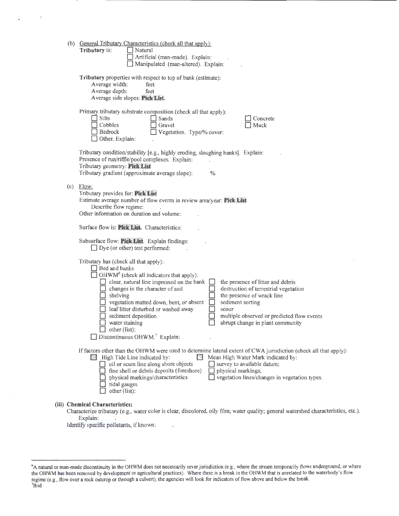|     | (b) General Tributary Characteristics (check all that apply):<br>Tributary is:<br>$\Box$ Natural<br>Artificial (man-made). Explain:<br>Manipulated (man-altered). Explain:                                                                                                                                                                                                                                                                                                                                                                                                                                                                                 |
|-----|------------------------------------------------------------------------------------------------------------------------------------------------------------------------------------------------------------------------------------------------------------------------------------------------------------------------------------------------------------------------------------------------------------------------------------------------------------------------------------------------------------------------------------------------------------------------------------------------------------------------------------------------------------|
|     | Tributary properties with respect to top of bank (estimate):<br>Average width:<br>feet<br>Average depth:<br>feet<br>Average side slopes: Pick List.                                                                                                                                                                                                                                                                                                                                                                                                                                                                                                        |
|     | Primary tributary substrate composition (check all that apply):<br>Silts<br>Sands<br>Concrete<br>Cobbles<br>Gravel<br>Muck<br>$\Box$ Vegetation. Type/% cover:<br>Bedrock<br>Other. Explain:                                                                                                                                                                                                                                                                                                                                                                                                                                                               |
|     | Tributary condition/stability [e.g., highly eroding, sloughing banks]. Explain:<br>Presence of run/riffle/pool complexes. Explain:<br>Tributary geometry: Pick List<br>Tributary gradient (approximate average slope):<br>$\%$                                                                                                                                                                                                                                                                                                                                                                                                                             |
| (c) | Flow:<br>Tributary provides for: Pick List<br>Estimate average number of flow events in review area/year: Pick List<br>Describe flow regime:<br>Other information on duration and volume:                                                                                                                                                                                                                                                                                                                                                                                                                                                                  |
|     | Surface flow is: Pick List. Characteristics:                                                                                                                                                                                                                                                                                                                                                                                                                                                                                                                                                                                                               |
|     | Subsurface flow: Pick List. Explain findings:<br>$\Box$ Dye (or other) test performed:                                                                                                                                                                                                                                                                                                                                                                                                                                                                                                                                                                     |
|     | Tributary has (check all that apply):<br>$\Box$ Bed and banks<br>$\Box$ OHWM <sup>6</sup> (check all indicators that apply):<br>clear, natural line impressed on the bank<br>the presence of litter and debris<br>destruction of terrestrial vegetation<br>changes in the character of soil<br>the presence of wrack line<br>shelving<br>□<br>vegetation matted down, bent, or absent<br>sediment sorting<br>leaf litter disturbed or washed away<br><b>SCOUT</b><br>multiple observed or predicted flow events<br>sediment deposition<br>abrupt change in plant community<br>water staining<br>other (list):<br>Discontinuous OHWM. <sup>7</sup> Explain: |
|     | If factors other than the OHWM were used to determine lateral extent of CWA jurisdiction (check all that apply):<br>Mean High Water Mark indicated by:<br>High Tide Line indicated by:<br>ि।<br>M<br>oil or scum line along shore objects<br>survey to available datum;<br>fine shell or debris deposits (foreshore)<br>physical markings;<br>vegetation lines/changes in vegetation types.<br>physical markings/characteristics<br>tidal gauges<br>other (list):                                                                                                                                                                                          |
|     | (iii) Chemical Characteristics:                                                                                                                                                                                                                                                                                                                                                                                                                                                                                                                                                                                                                            |

Characterize tributary (e.g., water color is clear, discolored, oily film; water quality; general watershed characteristics, etc.). Explain:

Identify specific pollutants, if known:

<sup>6</sup> A natural or man-made discontinuity in the OHWM does not necessarily sever jurisdiction (e.g., where the stream temporarily flows underground, or where the OHWM has been removed by development or agricultural practices). Where there is a break in the OHWM that is unrelated to the waterbody's flow regime (e.g., flow over a rock outcrop or through a culvert), the agencies will look for indicators of flow above and below the break.<br><sup>7</sup>Whid  $71\widetilde{b}$ id.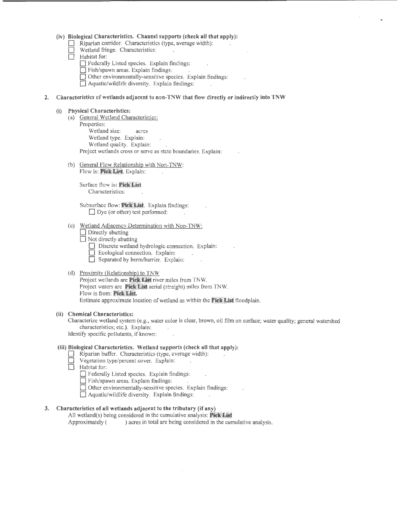#### (iv) Biological Characteristics. Channel supports (check all that apply):

- Riparian corridor. Characteristics (type, average width):
- Wetland fringe. Characteristics:
- $\Box$  Habitat for:
	- D Federally Listed species. Explain findings:
	- D Fish/spawn areas. Explain findings:
	- $\Box$  Other environmentally-sensitive species. Explain findings:
	- D Aquatic/wildlife diversity. Explain findings:

#### 2. Characteristics of wetlands adjacent to non-TNW that flow directly or indirectly into TNW

#### (i) Physical Characteristics:

- (a) General Wetland Characteristics: Properties: Wetland size: acres Wetland type. Explain: Wetland quality. Explain: Project wetlands cross or serve as state boundaries. Explain:
- (b) General Flow Relationship with Non-TNW: Flow is: Pick List. Explain:

Surface flow is: Pick List Characteristics:

Subsurface flow: Pick List. Explain findings:  $\Box$  Dye (or other) test performed:

#### (c) Wetland Adjacency Determination with Non-TNW:

- $\Box$  Directly abutting
- $\Box$  Not directly abutting
	- Discrete wetland hydrologic connection. Explain:
	- D Ecological connection. Explain:
	- Separated by berm/barrier. Explain:

#### (d) Proximity (Relationship) to TNW

Project wetlands are Pick List river miles from TNW. Project waters are Pick List aerial (straight) miles from TNW. Flow is from: Pick List. Estimate approximate location of wetland as within the **Fick List** floodplain.

#### (ii) Chemical Characteristics:

Characterize wetland system (e.g., water color is clear, brown, oil film on surface; water quality; general watershed characteristics; etc.). Explain: Identify specific pollutants, if known:

## (iii) Biological Characteristics. Wetland supports (check all that apply):

- Riparian buffer. Characteristics (type, average width):
- Vegetation type/percent cover. Explain:
- $\Box$  Habitat for:
	- D Federally Listed species. Explain findings:
	- $\Box$  Fish/spawn areas. Explain findings:
	- $\Box$  Other environmentally-sensitive species. Explain findings:
	- D Aquatic/wildlife diversity. Explain findings:

### 3. Characteristics of all wetlands adjacent to the tributary (if any)

All wetland(s) being considered in the cumulative analysis: Pick List Approximately () acres in total are being considered in the cumulative analysis.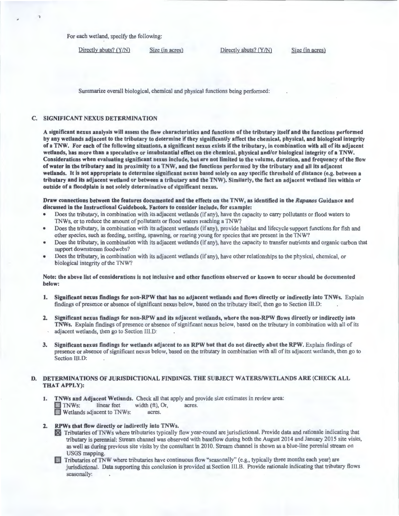For each wetland, specify the following:

Directly abuts? (Y/N) Size (in acres) Directly abuts? (Y/N) Size (in acres)

Summarize overall biological, chemical and physical functions being performed:

#### C. SIGNIFICANT NEXUS DETERMINATION

A significant nexus analysis will assess the flow characteristics and functions of the tributary itself and the functions performed by any wetlands adjacent to the tributary to determine if they significantly affect the chemical, physical, and biological integrity ofa TNW. For each of the following situations, a significant nexus exists ifthe tributary, in combination with all of its adjacent wetlands, has more than a speculative or insubstantial effect on the chemical, physical and/or biological integrity of a TNW. Considerations when evaluating significant nexus include, but are not limited to the volume, duration, and frequency of the flow of water in the tributary and its proximity to a TNW, and the functions performed by the tributary and all its adjacent wetlands. It is not appropriate to determine significant nexus based solely on any specific threshold of distance (e.g. between a tributary and its adjacent wetland or between a tributary and the TNW). Similarly, the fact an adjacent wetland lies within or outside of a floodplain is not solely determinative of significant nexus.

Draw connections between the features documented and the effects on the TNW, as identified in the Rapanos Guidance and discussed in the Instructional Guidebook. Factors to consider include, for example:

- Does the tributary, in combination with its adjacent wetlands (if any), have the capacity to carry pollutants or flood waters to TNWs, or to reduce the amount of pollutants or flood waters reaching a TNW?
- Does the tributary, in combination with its adjacent wetlands (if any), provide habitat and lifecycle support functions for fish and other species, such as feeding, nesting, spawning, or rearing young for species that are present in the TNW?
- Does the tributary, in combination with its adjacent wetlands (if any), have the capacity to transfer nutrients and organic carbon that support downstream foodwebs?
- Does the tributary, in combination with its adjacent wetlands (if any), have other relationships to the physical, chemical, or biological integrity of the TNW?

Note: the above list of considerations is not inclusive and other functions observed or known to occur should be documented below:

- 1. Significant nexus findings for non-RPW that has no adjacent wetlands and flows directly or indirectly into TNWs. Explain findings of presence or absence of significant nexus below, based on the tributary itself, then go to Section III.D:
- 2. Significant nexus findings for non-RPW and its adjacent wetlands, where the non-RPW flows directly or indirectly into TNWs. Explain findings of presence or absence of significant nexus below, based on the tributary in combination with all of its adjacent wetlands, then go to Section III.D:
- 3. Significant nexus findings for wetlands adjacent to an RPW but that do not directly abut the RPW. Explain findings of presence or absence of significant nexus below, based on the tributary in combination with all of its adjacent wetlands, then go to Section III.D:

#### D. DETERMINATIONS OF JURISDICTIONAL FINDINGS. THE SUBJECT WATERS/WETLANDS ARE (CHECK ALL THAT APPLY):

1. TNWs and Adjacent Wetlands. Check all that apply and provide size estimates in review area:<br>INWs: linear feet width (ft), Or, acres. D TNWs: linear feet width (ft), Or,<br>Wetlands adjacent to TNWs: acres.

# 2. RPWs that flow directly or indirectly into TNWs.

- ~ Tributaries ofTNWs where tributaries typically flow year-round are jurisdictional. Provide data and rationale indicating that tributary is perennial: Stream channel was observed with baseflow during both the August 2014 and January 2015 site visits, as well as during previous site visits by the consultant in 2010. Stream channel is shown as a blue-line perenial stream on USGS mapping.<br> **Tributaries of TNW where tributaries have continuous flow "seasonally" (e.g., typically three months each year) are**
- jurisdictional. Data supporting this conclusion is provided at Section III.B. Provide rationale indicating that tributary flows seasonally: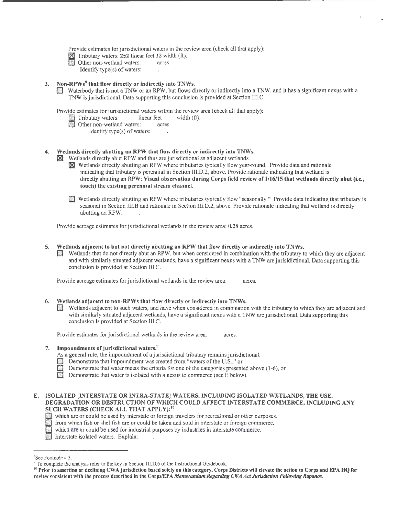Provide estimates for jurisdictional waters in the review area (check all that apply):

- $\boxtimes$  Tributary waters: 252 linear feet 12 width (ft).
- Other non-wetland waters: acres.
	- Identify type(s) of waters:

3. Non-RPWs<sup>8</sup> that flow directly or indirectly into TNWs.<br>D Waterbody that is not a TNW or an RPW, but flows directly or indirectly into a TNW, and it has a significant nexus with a TNW is jurisdictional. Data supporting this conclusion is provided at Section IIl.C.

Provide estimates for jurisdictional waters within the review area (check all that apply):<br>
Tributary waters: linear feet width (ft).

- Tributary waters: linear feet<br>
Other non-wetland waters: acres.
- **D** Other non-wetland waters:
	- Identify type(s) of waters:

#### 4. Wetlands directly abutting an RPW that flow directly or indirectly into TNWs.

- Wetlands directly abut RPW and thus are jurisdictional as adjacent wetlands.
- **IN** Wetlands directly abutting an RPW where tributaries typically flow year-round. Provide data and rationale indicating that tributary is perennial in Section III.D.2, above. Provide rationale indicating that wetland is directly abutting an RPW: Visual observation during Corps field review of 1/16/15 that wetlands directly abut (i.e., touch) the existing perennial stre&m channel.
- [J Wetlands directly abutting an RPW where tributaries typically flow "seasonally." Provide data indicating that tributary is seasonal in Section lll.B and rationale in Section Ill.D.2, above. Provide rationale indicating that wetland is directly abutting an RPW:

Provide acreage estimates for jurisdictional wetlands in the review area: 0.28 acres.

- 5. Wetlands adjacent to but not directly abutting an RPW that flow directly or indirectly into TNWs.
	- Wetlands that do not directly abut an RPW, but when considered in combination with the tributary to which they are adjacent and with similarly situated adjacent wetlands, have a significant nexus with a TNW are jurisidictional. Data supporting this conclusion is provided at Section III.C.

Provide acreage estimates for jurisdictional wetlands in the review area: acres.

- 6. Wetlands adjacent to non-RPWs that flow directly or indirectly into TNWs.
	- [J Wetlands adjacent to such waters, and have when considered in combination with the tributary to which they are adjacent and with similarly situated adjacent wetlands, have a significant nexus with a TNW are jurisdictional. Data supporting this conclusion is provided at Section lll.C.

Provide estimates for jurisdictional wetlands in the review area: acres.

- 
- 7. Impoundments of jurisdictional waters.<sup>9</sup><br>As a general rule, the impoundment of a jurisdictional tributary remains jurisdictional.
	-
	- Demonstrate that impoundment was created from "waters of the U.S.," or<br>Demonstrate that water meets the criteria for one of the categories presented above (1-6), or
	- Demonstrate that water is isolated with a nexus to commerce (see  $E$  below).
- E. ISOLATED [INTERSTATE OR INTRA-STATE] WATERS, INCLUDING ISOLATED WETLANDS, THE USE, DEGRADATION OR DESTRUCTION OF WHICH COULD AFFECT INTERSTATE COMMERCE, INCLUDING ANY SUCH WATERS (CHECK ALL THAT APPLY):<sup>10</sup>
	- Which are or could be used by interstate or foreign travelers for recreational or other purposes.<br>
	from which fish or shellfish are or could be taken and sold in interstate or foreign commerce.
	- [:j from which fish or shellfish are or could be taken and sold in interstate or foreign commerce. 0 which are or could be used for industrial purposes by industries in interstate commerce.
		-
	- **D** Interstate isolated waters. Explain:

<sup>&</sup>lt;sup>8</sup>See Footnote #3.

 $\degree$  To complete the analysis refer to the key in Section III.D.6 of the Instructional Guidebook.<br><sup>10</sup> Prior to asserting or declining CWA jurisdiction based solely on this category, Corps Districts will elevate the actio review consistent with the process described in the Corps/EPA Memorandum Regarding CWA Act Jurisdiction Following Rapanos.